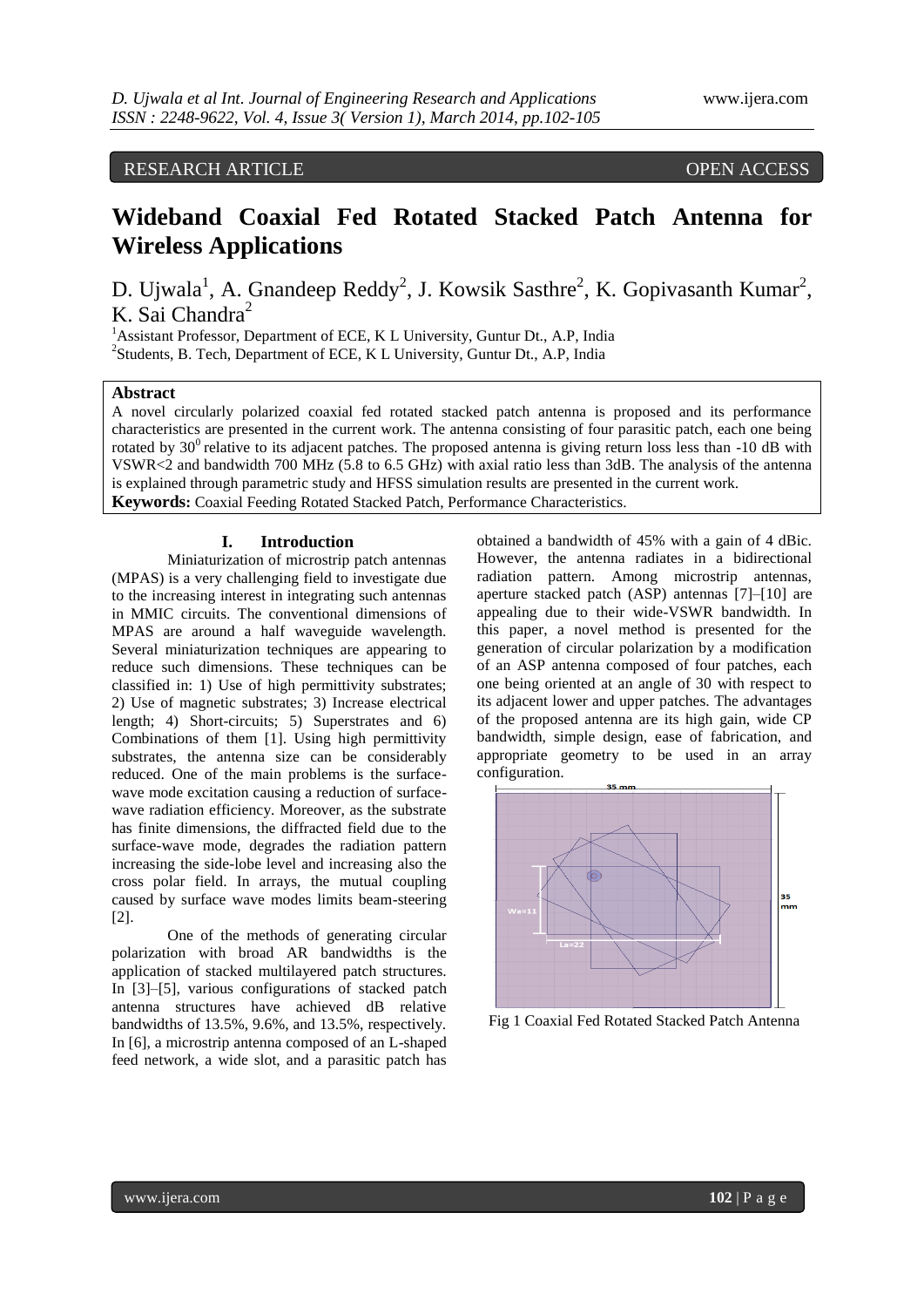# RESEARCH ARTICLE OPEN ACCESS

# **Wideband Coaxial Fed Rotated Stacked Patch Antenna for Wireless Applications**

D. Ujwala<sup>1</sup>, A. Gnandeep Reddy<sup>2</sup>, J. Kowsik Sasthre<sup>2</sup>, K. Gopivasanth Kumar<sup>2</sup>, K. Sai Chandra<sup>2</sup>

<sup>1</sup> Assistant Professor, Department of ECE, K L University, Guntur Dt., A.P. India <sup>2</sup>Students, B. Tech, Department of ECE, K L University, Guntur Dt., A.P, India

## **Abstract**

A novel circularly polarized coaxial fed rotated stacked patch antenna is proposed and its performance characteristics are presented in the current work. The antenna consisting of four parasitic patch, each one being rotated by  $30^{\circ}$  relative to its adjacent patches. The proposed antenna is giving return loss less than -10 dB with VSWR<2 and bandwidth 700 MHz (5.8 to 6.5 GHz) with axial ratio less than 3dB. The analysis of the antenna is explained through parametric study and HFSS simulation results are presented in the current work. **Keywords:** Coaxial Feeding Rotated Stacked Patch, Performance Characteristics.

#### **I. Introduction**

Miniaturization of microstrip patch antennas (MPAS) is a very challenging field to investigate due to the increasing interest in integrating such antennas in MMIC circuits. The conventional dimensions of MPAS are around a half waveguide wavelength. Several miniaturization techniques are appearing to reduce such dimensions. These techniques can be classified in: 1) Use of high permittivity substrates; 2) Use of magnetic substrates; 3) Increase electrical length; 4) Short-circuits; 5) Superstrates and 6) Combinations of them [1]. Using high permittivity substrates, the antenna size can be considerably reduced. One of the main problems is the surfacewave mode excitation causing a reduction of surfacewave radiation efficiency. Moreover, as the substrate has finite dimensions, the diffracted field due to the surface-wave mode, degrades the radiation pattern increasing the side-lobe level and increasing also the cross polar field. In arrays, the mutual coupling caused by surface wave modes limits beam-steering [2].

One of the methods of generating circular polarization with broad AR bandwidths is the application of stacked multilayered patch structures. In [3]–[5], various configurations of stacked patch antenna structures have achieved dB relative bandwidths of 13.5%, 9.6%, and 13.5%, respectively. In [6], a microstrip antenna composed of an L-shaped feed network, a wide slot, and a parasitic patch has

obtained a bandwidth of 45% with a gain of 4 dBic. However, the antenna radiates in a bidirectional radiation pattern. Among microstrip antennas, aperture stacked patch (ASP) antennas [7]–[10] are appealing due to their wide-VSWR bandwidth. In this paper, a novel method is presented for the generation of circular polarization by a modification of an ASP antenna composed of four patches, each one being oriented at an angle of 30 with respect to its adjacent lower and upper patches. The advantages of the proposed antenna are its high gain, wide CP bandwidth, simple design, ease of fabrication, and appropriate geometry to be used in an array configuration.



Fig 1 Coaxial Fed Rotated Stacked Patch Antenna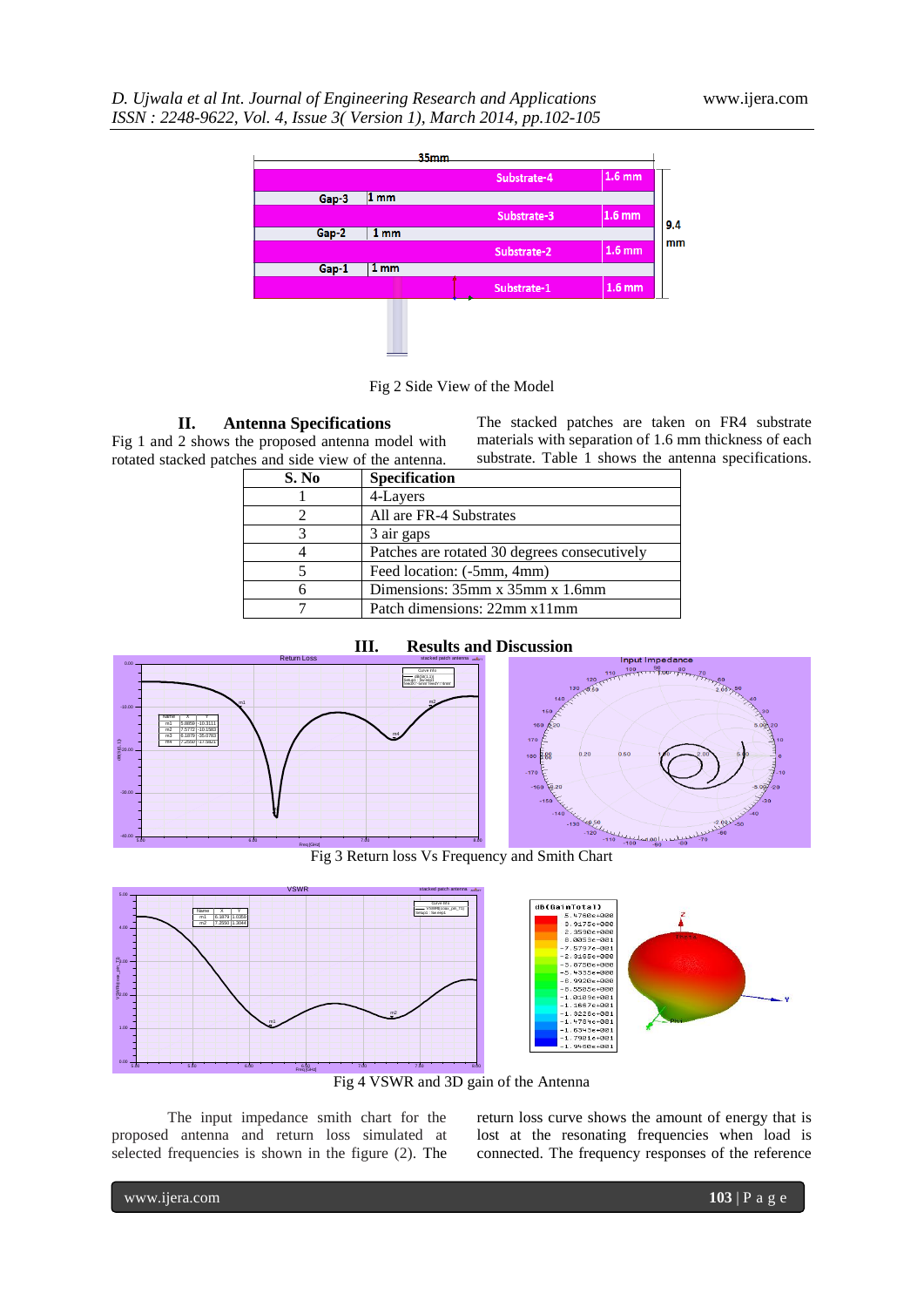

Fig 2 Side View of the Model

**II. Antenna Specifications**

Fig 1 and 2 shows the proposed antenna model with rotated stacked patches and side view of the antenna.

The stacked patches are taken on FR4 substrate materials with separation of 1.6 mm thickness of each substrate. Table 1 shows the antenna specifications.

| S. No | Specification                                |
|-------|----------------------------------------------|
|       | 4-Layers                                     |
|       | All are FR-4 Substrates                      |
|       | 3 air gaps                                   |
|       | Patches are rotated 30 degrees consecutively |
|       | Feed location: (-5mm, 4mm)                   |
|       | Dimensions: 35mm x 35mm x 1.6mm              |
|       | Patch dimensions: 22mm x11mm                 |





Fig 3 Return loss Vs Frequency and Smith Chart



Fig 4 VSWR and 3D gain of the Antenna

The input impedance smith chart for the proposed antenna and return loss simulated at selected frequencies is shown in the figure (2). The return loss curve shows the amount of energy that is lost at the resonating frequencies when load is connected. The frequency responses of the reference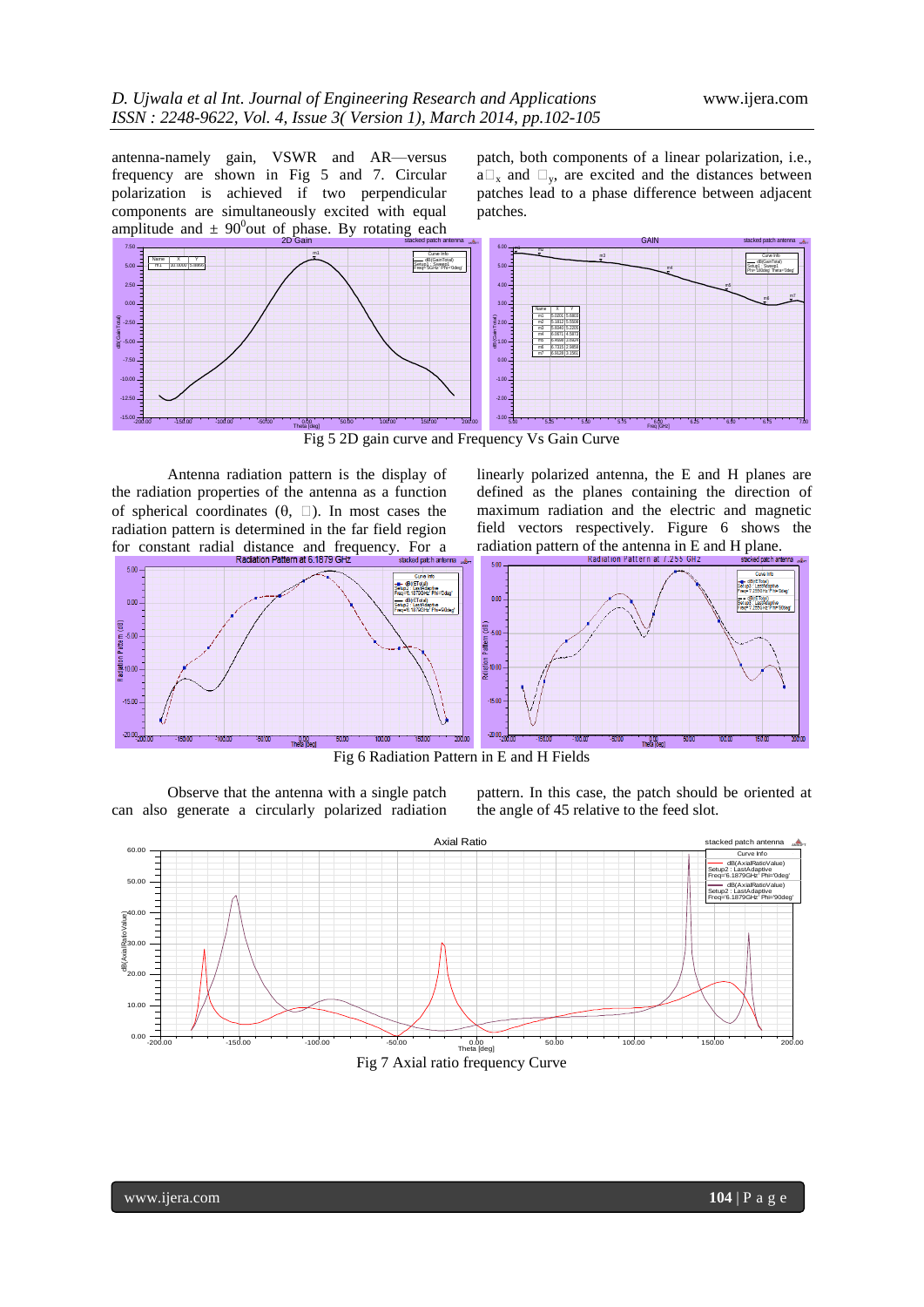antenna-namely gain, VSWR and AR—versus frequency are shown in Fig 5 and 7. Circular polarization is achieved if two perpendicular components are simultaneously excited with equal amplitude and  $\pm$  90<sup>0</sup> out of phase. By rotating each

patch, both components of a linear polarization, i.e.,  $a\Box_x$  and  $\Box_y$ , are excited and the distances between patches lead to a phase difference between adjacent patches.



Antenna radiation pattern is the display of the radiation properties of the antenna as a function of spherical coordinates  $(\theta, \Box)$ . In most cases the radiation pattern is determined in the far field region for constant radial distance and frequency. For a

 $500$ 

 $0.00$ 

 $500$ 

iet<br>aginox

 $-15.00$ 

 $-20.00$ 

linearly polarized antenna, the E and H planes are defined as the planes containing the direction of maximum radiation and the electric and magnetic field vectors respectively. Figure 6 shows the radiation pattern of the antenna in E and H plane.



Fig 6 Radiation Pattern in E and H Fields

Observe that the antenna with a single patch can also generate a circularly polarized radiation

 $\frac{0.00}{\pi}$ 

pattern. In this case, the patch should be oriented at the angle of 45 relative to the feed slot.